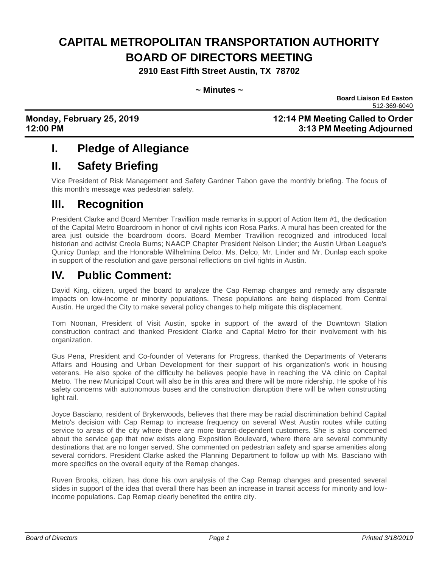# **CAPITAL METROPOLITAN TRANSPORTATION AUTHORITY BOARD OF DIRECTORS MEETING**

**2910 East Fifth Street Austin, TX 78702**

#### **~ Minutes ~**

 **Board Liaison Ed Easton** 512-369-6040

### **Monday, February 25, 2019 12:14 PM Meeting Called to Order 12:00 PM 3:13 PM Meeting Adjourned**

## **I. Pledge of Allegiance**

## **II. Safety Briefing**

Vice President of Risk Management and Safety Gardner Tabon gave the monthly briefing. The focus of this month's message was pedestrian safety.

## **III. Recognition**

President Clarke and Board Member Travillion made remarks in support of Action Item #1, the dedication of the Capital Metro Boardroom in honor of civil rights icon Rosa Parks. A mural has been created for the area just outside the boardroom doors. Board Member Travillion recognized and introduced local historian and activist Creola Burns; NAACP Chapter President Nelson Linder; the Austin Urban League's Qunicy Dunlap; and the Honorable Wilhelmina Delco. Ms. Delco, Mr. Linder and Mr. Dunlap each spoke in support of the resolution and gave personal reflections on civil rights in Austin.

# **IV. Public Comment:**

David King, citizen, urged the board to analyze the Cap Remap changes and remedy any disparate impacts on low-income or minority populations. These populations are being displaced from Central Austin. He urged the City to make several policy changes to help mitigate this displacement.

Tom Noonan, President of Visit Austin, spoke in support of the award of the Downtown Station construction contract and thanked President Clarke and Capital Metro for their involvement with his organization.

Gus Pena, President and Co-founder of Veterans for Progress, thanked the Departments of Veterans Affairs and Housing and Urban Development for their support of his organization's work in housing veterans. He also spoke of the difficulty he believes people have in reaching the VA clinic on Capital Metro. The new Municipal Court will also be in this area and there will be more ridership. He spoke of his safety concerns with autonomous buses and the construction disruption there will be when constructing light rail.

Joyce Basciano, resident of Brykerwoods, believes that there may be racial discrimination behind Capital Metro's decision with Cap Remap to increase frequency on several West Austin routes while cutting service to areas of the city where there are more transit-dependent customers. She is also concerned about the service gap that now exists along Exposition Boulevard, where there are several community destinations that are no longer served. She commented on pedestrian safety and sparse amenities along several corridors. President Clarke asked the Planning Department to follow up with Ms. Basciano with more specifics on the overall equity of the Remap changes.

Ruven Brooks, citizen, has done his own analysis of the Cap Remap changes and presented several slides in support of the idea that overall there has been an increase in transit access for minority and lowincome populations. Cap Remap clearly benefited the entire city.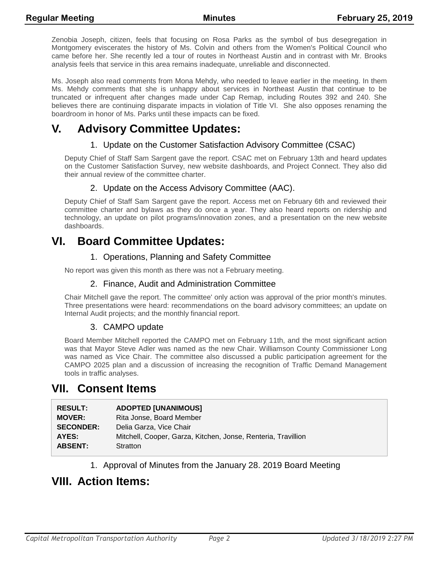Zenobia Joseph, citizen, feels that focusing on Rosa Parks as the symbol of bus desegregation in Montgomery eviscerates the history of Ms. Colvin and others from the Women's Political Council who came before her. She recently led a tour of routes in Northeast Austin and in contrast with Mr. Brooks analysis feels that service in this area remains inadequate, unreliable and disconnected.

Ms. Joseph also read comments from Mona Mehdy, who needed to leave earlier in the meeting. In them Ms. Mehdy comments that she is unhappy about services in Northeast Austin that continue to be truncated or infrequent after changes made under Cap Remap, including Routes 392 and 240. She believes there are continuing disparate impacts in violation of Title VI. She also opposes renaming the boardroom in honor of Ms. Parks until these impacts can be fixed.

## **V. Advisory Committee Updates:**

#### 1. Update on the Customer Satisfaction Advisory Committee (CSAC)

Deputy Chief of Staff Sam Sargent gave the report. CSAC met on February 13th and heard updates on the Customer Satisfaction Survey, new website dashboards, and Project Connect. They also did their annual review of the committee charter.

#### 2. Update on the Access Advisory Committee (AAC).

Deputy Chief of Staff Sam Sargent gave the report. Access met on February 6th and reviewed their committee charter and bylaws as they do once a year. They also heard reports on ridership and technology, an update on pilot programs/innovation zones, and a presentation on the new website dashboards.

### **VI. Board Committee Updates:**

#### 1. Operations, Planning and Safety Committee

No report was given this month as there was not a February meeting.

#### 2. Finance, Audit and Administration Committee

Chair Mitchell gave the report. The committee' only action was approval of the prior month's minutes. Three presentations were heard: recommendations on the board advisory committees; an update on Internal Audit projects; and the monthly financial report.

#### 3. CAMPO update

Board Member Mitchell reported the CAMPO met on February 11th, and the most significant action was that Mayor Steve Adler was named as the new Chair. Williamson County Commissioner Long was named as Vice Chair. The committee also discussed a public participation agreement for the CAMPO 2025 plan and a discussion of increasing the recognition of Traffic Demand Management tools in traffic analyses.

### **VII. Consent Items**

| <b>RESULT:</b>   | <b>ADOPTED [UNANIMOUS]</b>                                    |
|------------------|---------------------------------------------------------------|
| <b>MOVER:</b>    | Rita Jonse, Board Member                                      |
| <b>SECONDER:</b> | Delia Garza, Vice Chair                                       |
| AYES:            | Mitchell, Cooper, Garza, Kitchen, Jonse, Renteria, Travillion |
| <b>ABSENT:</b>   | Stratton                                                      |
|                  |                                                               |

1. Approval of Minutes from the January 28. 2019 Board Meeting

### **VIII. Action Items:**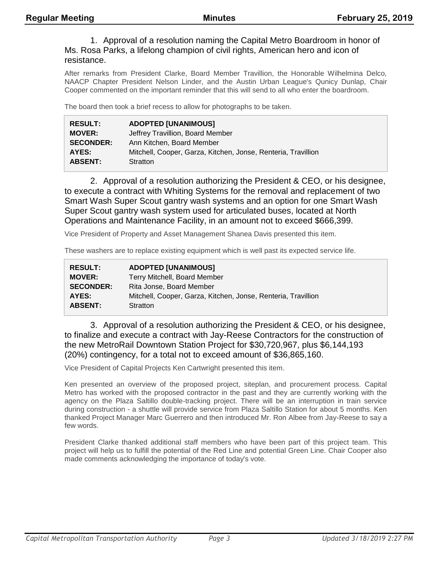#### 1. Approval of a resolution naming the Capital Metro Boardroom in honor of Ms. Rosa Parks, a lifelong champion of civil rights, American hero and icon of resistance.

After remarks from President Clarke, Board Member Travillion, the Honorable Wilhelmina Delco, NAACP Chapter President Nelson Linder, and the Austin Urban League's Qunicy Dunlap, Chair Cooper commented on the important reminder that this will send to all who enter the boardroom.

The board then took a brief recess to allow for photographs to be taken.

| <b>RESULT:</b>   | <b>ADOPTED [UNANIMOUS]</b>                                    |
|------------------|---------------------------------------------------------------|
| <b>MOVER:</b>    | Jeffrey Travillion, Board Member                              |
| <b>SECONDER:</b> | Ann Kitchen, Board Member                                     |
| AYES:            | Mitchell, Cooper, Garza, Kitchen, Jonse, Renteria, Travillion |
| <b>ABSENT:</b>   | Stratton                                                      |

2. Approval of a resolution authorizing the President & CEO, or his designee, to execute a contract with Whiting Systems for the removal and replacement of two Smart Wash Super Scout gantry wash systems and an option for one Smart Wash Super Scout gantry wash system used for articulated buses, located at North Operations and Maintenance Facility, in an amount not to exceed \$666,399.

Vice President of Property and Asset Management Shanea Davis presented this item.

These washers are to replace existing equipment which is well past its expected service life.

| <b>RESULT:</b>   | <b>ADOPTED [UNANIMOUS]</b>                                    |
|------------------|---------------------------------------------------------------|
| <b>MOVER:</b>    | Terry Mitchell, Board Member                                  |
| <b>SECONDER:</b> | Rita Jonse, Board Member                                      |
| AYES:            | Mitchell, Cooper, Garza, Kitchen, Jonse, Renteria, Travillion |
| <b>ABSENT:</b>   | Stratton                                                      |

3. Approval of a resolution authorizing the President & CEO, or his designee, to finalize and execute a contract with Jay-Reese Contractors for the construction of the new MetroRail Downtown Station Project for \$30,720,967, plus \$6,144,193 (20%) contingency, for a total not to exceed amount of \$36,865,160.

Vice President of Capital Projects Ken Cartwright presented this item.

Ken presented an overview of the proposed project, siteplan, and procurement process. Capital Metro has worked with the proposed contractor in the past and they are currently working with the agency on the Plaza Saltillo double-tracking project. There will be an interruption in train service during construction - a shuttle will provide service from Plaza Saltillo Station for about 5 months. Ken thanked Project Manager Marc Guerrero and then introduced Mr. Ron Albee from Jay-Reese to say a few words.

President Clarke thanked additional staff members who have been part of this project team. This project will help us to fulfill the potential of the Red Line and potential Green Line. Chair Cooper also made comments acknowledging the importance of today's vote.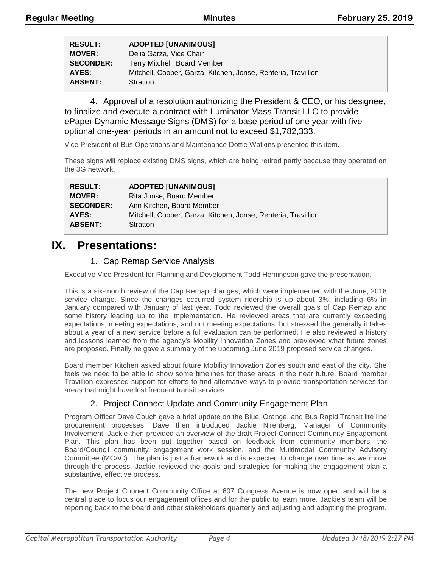| <b>RESULT:</b>   | <b>ADOPTED [UNANIMOUS]</b>                                    |
|------------------|---------------------------------------------------------------|
| <b>MOVER:</b>    | Delia Garza, Vice Chair                                       |
| <b>SECONDER:</b> | Terry Mitchell, Board Member                                  |
| AYES:            | Mitchell, Cooper, Garza, Kitchen, Jonse, Renteria, Travillion |
| <b>ABSENT:</b>   | Stratton                                                      |

4. Approval of a resolution authorizing the President & CEO, or his designee, to finalize and execute a contract with Luminator Mass Transit LLC to provide ePaper Dynamic Message Signs (DMS) for a base period of one year with five optional one-year periods in an amount not to exceed \$1,782,333.

Vice President of Bus Operations and Maintenance Dottie Watkins presented this item.

These signs will replace existing DMS signs, which are being retired partly because they operated on the 3G network.

| <b>RESULT:</b>   | <b>ADOPTED [UNANIMOUS]</b>                                    |
|------------------|---------------------------------------------------------------|
| <b>MOVER:</b>    | Rita Jonse, Board Member                                      |
| <b>SECONDER:</b> | Ann Kitchen, Board Member                                     |
| AYES:            | Mitchell, Cooper, Garza, Kitchen, Jonse, Renteria, Travillion |
| <b>ABSENT:</b>   | Stratton                                                      |

### **IX. Presentations:**

#### 1. Cap Remap Service Analysis

Executive Vice President for Planning and Development Todd Hemingson gave the presentation.

This is a six-month review of the Cap Remap changes, which were implemented with the June, 2018 service change. Since the changes occurred system ridership is up about 3%, including 6% in January compared with January of last year. Todd reviewed the overall goals of Cap Remap and some history leading up to the implementation. He reviewed areas that are currently exceeding expectations, meeting expectations, and not meeting expectations, but stressed the generally it takes about a year of a new service before a full evaluation can be performed. He also reviewed a history and lessons learned from the agency's Mobility Innovation Zones and previewed what future zones are proposed. Finally he gave a summary of the upcoming June 2019 proposed service changes.

Board member Kitchen asked about future Mobility Innovation Zones south and east of the city. She feels we need to be able to show some timelines for these areas in the near future. Board member Travillion expressed support for efforts to find alternative ways to provide transportation services for areas that might have lost frequent transit services.

#### 2. Project Connect Update and Community Engagement Plan

Program Officer Dave Couch gave a brief update on the Blue, Orange, and Bus Rapid Transit lite line procurement processes. Dave then introduced Jackie Nirenberg, Manager of Community Involvement. Jackie then provided an overview of the draft Project Connect Community Engagement Plan. This plan has been put together based on feedback from community members, the Board/Council community engagement work session, and the Multimodal Community Advisory Committee (MCAC). The plan is just a framework and is expected to change over time as we move through the process. Jackie reviewed the goals and strategies for making the engagement plan a substantive, effective process.

The new Project Connect Community Office at 607 Congress Avenue is now open and will be a central place to focus our engagement offices and for the public to learn more. Jackie's team will be reporting back to the board and other stakeholders quarterly and adjusting and adapting the program.